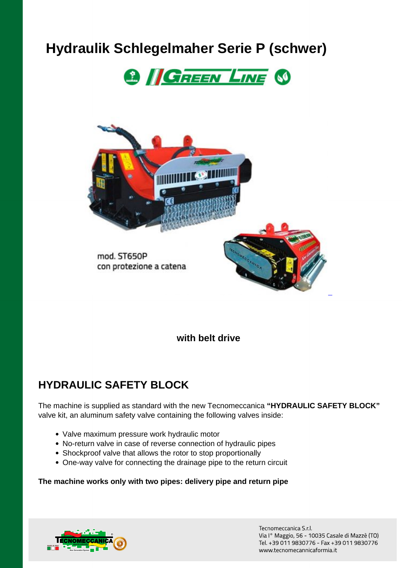# **Hydraulik Schlegelmaher Serie P (schwer)**





**with belt drive**

### **HYDRAULIC SAFETY BLOCK**

The machine is supplied as standard with the new Tecnomeccanica **"HYDRAULIC SAFETY BLOCK"** valve kit, an aluminum safety valve containing the following valves inside:

- Valve maximum pressure work hydraulic motor
- No-return valve in case of reverse connection of hydraulic pipes
- Shockproof valve that allows the rotor to stop proportionally
- One-way valve for connecting the drainage pipe to the return circuit

#### **The machine works only with two pipes: delivery pipe and return pipe**



Tecnomeccanica S.r.l. ViaI°Maggio,56-10035CasalediMazzè(TO) Tel.+390119830776-Fax+390119830776 www.tecnomecannicaformia.it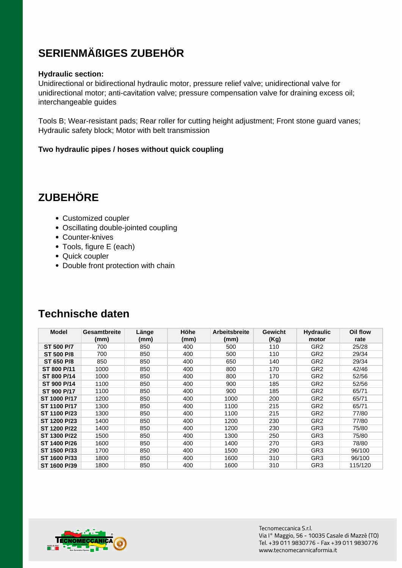# **SERIENMÄßIGES ZUBEHÖR**

#### **Hydraulic section:**

Unidirectional or bidirectional hydraulic motor, pressure relief valve; unidirectional valve for unidirectional motor; anti-cavitation valve; pressure compensation valve for draining excess oil; interchangeable guides

Tools B; Wear-resistant pads; Rear roller for cutting height adjustment; Front stone guard vanes; Hydraulic safety block; Motor with belt transmission

#### **Two hydraulic pipes / hoses without quick coupling**

# **ZUBEHÖRE**

- Customized coupler
- Oscillating double-jointed coupling
- Counter-knives
- Tools, figure E (each)
- Quick coupler
- Double front protection with chain

| <b>Model</b>      | <b>Gesamtbreite</b><br>(mm) | Länge<br>(mm) | Höhe<br>(mm) | <b>Arbeitsbreite</b><br>(mm) | Gewicht<br>(Kg) | <b>Hydraulic</b><br>motor | Oil flow<br>rate |
|-------------------|-----------------------------|---------------|--------------|------------------------------|-----------------|---------------------------|------------------|
| ST 500 P/7        | 700                         | 850           | 400          | 500                          | 110             | GR <sub>2</sub>           | 25/28            |
| <b>ST 500 P/8</b> | 700                         | 850           | 400          | 500                          | 110             | GR <sub>2</sub>           | 29/34            |
| <b>ST 650 P/8</b> | 850                         | 850           | 400          | 650                          | 140             | GR <sub>2</sub>           | 29/34            |
| ST 800 P/11       | 1000                        | 850           | 400          | 800                          | 170             | GR <sub>2</sub>           | 42/46            |
| ST 800 P/14       | 1000                        | 850           | 400          | 800                          | 170             | GR <sub>2</sub>           | 52/56            |
| ST 900 P/14       | 1100                        | 850           | 400          | 900                          | 185             | GR <sub>2</sub>           | 52/56            |
| ST 900 P/17       | 1100                        | 850           | 400          | 900                          | 185             | GR <sub>2</sub>           | 65/71            |
| ST 1000 P/17      | 1200                        | 850           | 400          | 1000                         | 200             | GR <sub>2</sub>           | 65/71            |
| ST 1100 P/17      | 1300                        | 850           | 400          | 1100                         | 215             | GR <sub>2</sub>           | 65/71            |
| ST 1100 P/23      | 1300                        | 850           | 400          | 1100                         | 215             | GR <sub>2</sub>           | 77/80            |
| ST 1200 P/23      | 1400                        | 850           | 400          | 1200                         | 230             | GR <sub>2</sub>           | 77/80            |
| ST 1200 P/22      | 1400                        | 850           | 400          | 1200                         | 230             | GR <sub>3</sub>           | 75/80            |
| ST 1300 P/22      | 1500                        | 850           | 400          | 1300                         | 250             | GR <sub>3</sub>           | 75/80            |
| ST 1400 P/26      | 1600                        | 850           | 400          | 1400                         | 270             | GR <sub>3</sub>           | 78/80            |
| ST 1500 P/33      | 1700                        | 850           | 400          | 1500                         | 290             | GR <sub>3</sub>           | 96/100           |
| ST 1600 P/33      | 1800                        | 850           | 400          | 1600                         | 310             | GR <sub>3</sub>           | 96/100           |
| ST 1600 P/39      | 1800                        | 850           | 400          | 1600                         | 310             | GR <sub>3</sub>           | 115/120          |

### **Technische daten**

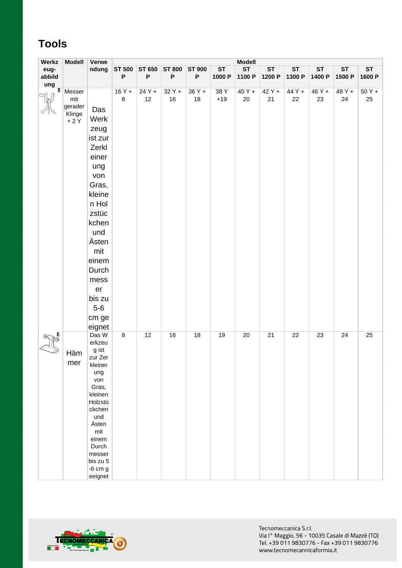# **Tools**

| Werkz                 | <b>Modell</b>   | Verwe                   | <b>Modell</b> |               |               |                           |           |           |           |           |           |           |           |
|-----------------------|-----------------|-------------------------|---------------|---------------|---------------|---------------------------|-----------|-----------|-----------|-----------|-----------|-----------|-----------|
| eug-                  |                 | ndung                   | <b>ST 500</b> | <b>ST 650</b> | <b>ST 800</b> | <b>ST 900</b>             | <b>ST</b> | <b>ST</b> | <b>ST</b> | <b>ST</b> | <b>ST</b> | <b>ST</b> | <b>ST</b> |
| abbild                |                 |                         | P             | P             | P             | $\boldsymbol{\mathsf{P}}$ | 1000 P    | 1100 P    | 1200 P    | 1300 P    | 1400 P    | 1500 P    | 1600 P    |
| ung<br>$\overline{B}$ | Messer          |                         | $16Y +$       | 24 Y +        | $32Y +$       | 36 Y +                    | 38 Y      | 40 Y +    | 42 Y +    | 44 Y +    | 46 Y +    | 48 Y +    | $50Y +$   |
|                       | mit             |                         | $\,8\,$       | 12            | $16\,$        | 18                        | $+19$     | 20        | 21        | 22        | 23        | 24        | 25        |
|                       | gerader         | Das                     |               |               |               |                           |           |           |           |           |           |           |           |
|                       | Klinge<br>$+2Y$ | Werk                    |               |               |               |                           |           |           |           |           |           |           |           |
|                       |                 |                         |               |               |               |                           |           |           |           |           |           |           |           |
|                       |                 | zeug                    |               |               |               |                           |           |           |           |           |           |           |           |
|                       |                 | ist zur                 |               |               |               |                           |           |           |           |           |           |           |           |
|                       |                 | Zerkl                   |               |               |               |                           |           |           |           |           |           |           |           |
|                       |                 | einer                   |               |               |               |                           |           |           |           |           |           |           |           |
|                       |                 | ung                     |               |               |               |                           |           |           |           |           |           |           |           |
|                       |                 | von                     |               |               |               |                           |           |           |           |           |           |           |           |
|                       |                 | Gras,                   |               |               |               |                           |           |           |           |           |           |           |           |
|                       |                 | kleine                  |               |               |               |                           |           |           |           |           |           |           |           |
|                       |                 | n Hol                   |               |               |               |                           |           |           |           |           |           |           |           |
|                       |                 | zstüc                   |               |               |               |                           |           |           |           |           |           |           |           |
|                       |                 | kchen                   |               |               |               |                           |           |           |           |           |           |           |           |
|                       |                 | und                     |               |               |               |                           |           |           |           |           |           |           |           |
|                       |                 | Ästen                   |               |               |               |                           |           |           |           |           |           |           |           |
|                       |                 | mit                     |               |               |               |                           |           |           |           |           |           |           |           |
|                       |                 | einem                   |               |               |               |                           |           |           |           |           |           |           |           |
|                       |                 | Durch                   |               |               |               |                           |           |           |           |           |           |           |           |
|                       |                 | mess                    |               |               |               |                           |           |           |           |           |           |           |           |
|                       |                 | er                      |               |               |               |                           |           |           |           |           |           |           |           |
|                       |                 | bis zu                  |               |               |               |                           |           |           |           |           |           |           |           |
|                       |                 | $5-6$                   |               |               |               |                           |           |           |           |           |           |           |           |
|                       |                 |                         |               |               |               |                           |           |           |           |           |           |           |           |
|                       |                 | cm ge                   |               |               |               |                           |           |           |           |           |           |           |           |
|                       |                 | eignet                  |               |               |               |                           |           |           |           |           |           |           |           |
|                       |                 | Das W<br>erkzeu         | 8             | 12            | 16            | 18                        | 19        | 20        | 21        | 22        | 23        | 24        | 25        |
|                       |                 | g ist                   |               |               |               |                           |           |           |           |           |           |           |           |
|                       | Häm             | zur Zer                 |               |               |               |                           |           |           |           |           |           |           |           |
|                       | mer             | kleiner                 |               |               |               |                           |           |           |           |           |           |           |           |
|                       |                 | ung<br>von              |               |               |               |                           |           |           |           |           |           |           |           |
|                       |                 | Gras,                   |               |               |               |                           |           |           |           |           |           |           |           |
|                       |                 | kleinen                 |               |               |               |                           |           |           |           |           |           |           |           |
|                       |                 | Holzstü                 |               |               |               |                           |           |           |           |           |           |           |           |
|                       |                 | ckchen                  |               |               |               |                           |           |           |           |           |           |           |           |
|                       |                 | und<br>Ästen            |               |               |               |                           |           |           |           |           |           |           |           |
|                       |                 | mit                     |               |               |               |                           |           |           |           |           |           |           |           |
|                       |                 | einem                   |               |               |               |                           |           |           |           |           |           |           |           |
|                       |                 | Durch                   |               |               |               |                           |           |           |           |           |           |           |           |
|                       |                 | messer                  |               |               |               |                           |           |           |           |           |           |           |           |
|                       |                 | bis zu 5<br>$-6$ cm $g$ |               |               |               |                           |           |           |           |           |           |           |           |
|                       |                 | eeignet                 |               |               |               |                           |           |           |           |           |           |           |           |